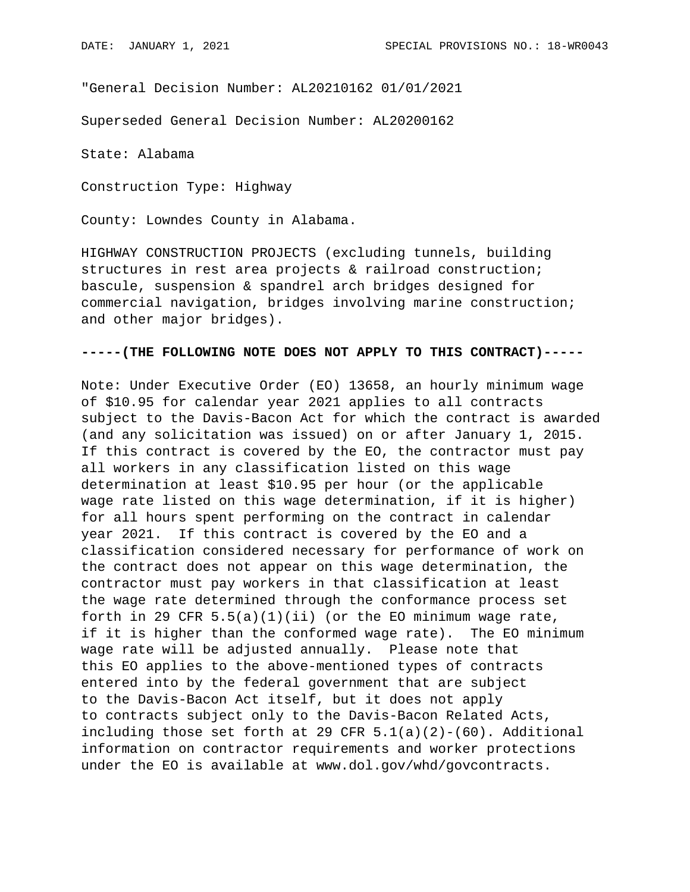"General Decision Number: AL20210162 01/01/2021

Superseded General Decision Number: AL20200162

State: Alabama

Construction Type: Highway

County: Lowndes County in Alabama.

HIGHWAY CONSTRUCTION PROJECTS (excluding tunnels, building structures in rest area projects & railroad construction; bascule, suspension & spandrel arch bridges designed for commercial navigation, bridges involving marine construction; and other major bridges).

## **-----(THE FOLLOWING NOTE DOES NOT APPLY TO THIS CONTRACT)-----**

Note: Under Executive Order (EO) 13658, an hourly minimum wage of \$10.95 for calendar year 2021 applies to all contracts subject to the Davis-Bacon Act for which the contract is awarded (and any solicitation was issued) on or after January 1, 2015. If this contract is covered by the EO, the contractor must pay all workers in any classification listed on this wage determination at least \$10.95 per hour (or the applicable wage rate listed on this wage determination, if it is higher) for all hours spent performing on the contract in calendar year 2021. If this contract is covered by the EO and a classification considered necessary for performance of work on the contract does not appear on this wage determination, the contractor must pay workers in that classification at least the wage rate determined through the conformance process set forth in 29 CFR  $5.5(a)(1)(ii)$  (or the EO minimum wage rate, if it is higher than the conformed wage rate). The EO minimum wage rate will be adjusted annually. Please note that this EO applies to the above-mentioned types of contracts entered into by the federal government that are subject to the Davis-Bacon Act itself, but it does not apply to contracts subject only to the Davis-Bacon Related Acts, including those set forth at 29 CFR  $5.1(a)(2)-(60)$ . Additional information on contractor requirements and worker protections under the EO is available at www.dol.gov/whd/govcontracts.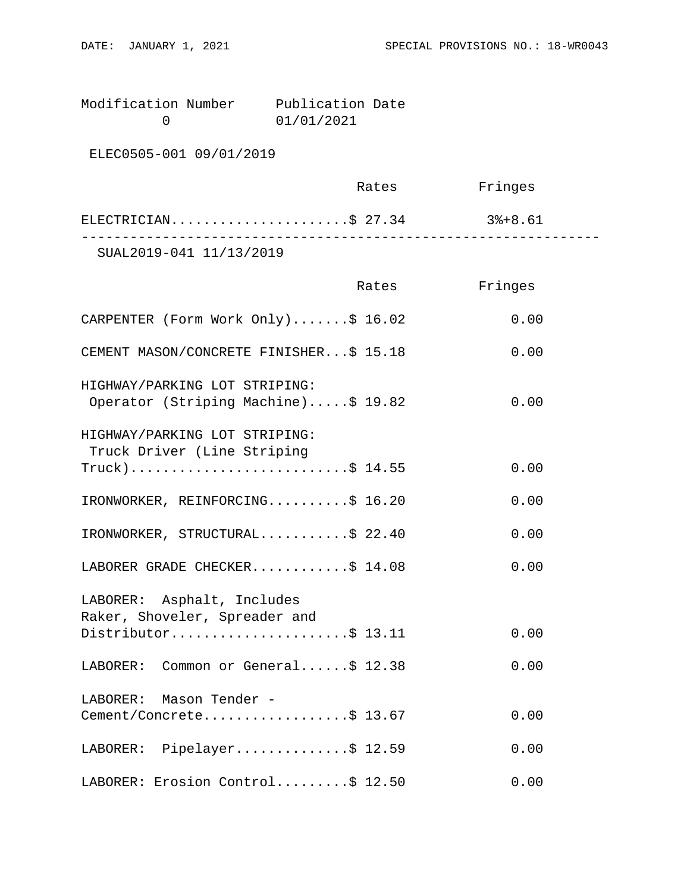Modification Number Publication Date<br>0 01/01/2021 0 01/01/2021

ELEC0505-001 09/01/2019

|                         | Rates | Fringes |  |
|-------------------------|-------|---------|--|
| ELECTRICIAN\$ 27.34     |       | 3%+8.61 |  |
| SUAL2019-041 11/13/2019 |       |         |  |

|                                                                      | Rates | Fringes |
|----------------------------------------------------------------------|-------|---------|
| CARPENTER (Form Work Only)\$ 16.02                                   |       | 0.00    |
| CEMENT MASON/CONCRETE FINISHER\$ 15.18                               |       | 0.00    |
| HIGHWAY/PARKING LOT STRIPING:<br>Operator (Striping Machine)\$ 19.82 |       | 0.00    |
| HIGHWAY/PARKING LOT STRIPING:<br>Truck Driver (Line Striping         |       |         |
| $True k)$ \$ 14.55                                                   |       | 0.00    |
| IRONWORKER, REINFORCING\$ 16.20                                      |       | 0.00    |
| IRONWORKER, STRUCTURAL\$ 22.40                                       |       | 0.00    |
| LABORER GRADE CHECKER\$ 14.08                                        |       | 0.00    |
| LABORER: Asphalt, Includes<br>Raker, Shoveler, Spreader and          |       |         |
| Distributor\$ 13.11                                                  |       | 0.00    |
| LABORER: Common or General\$ 12.38                                   |       | 0.00    |
| LABORER: Mason Tender -                                              |       |         |
| Cement/Concrete\$ 13.67                                              |       | 0.00    |
| LABORER: Pipelayer\$ 12.59                                           |       | 0.00    |
| LABORER: Erosion Control\$ 12.50                                     |       | 0.00    |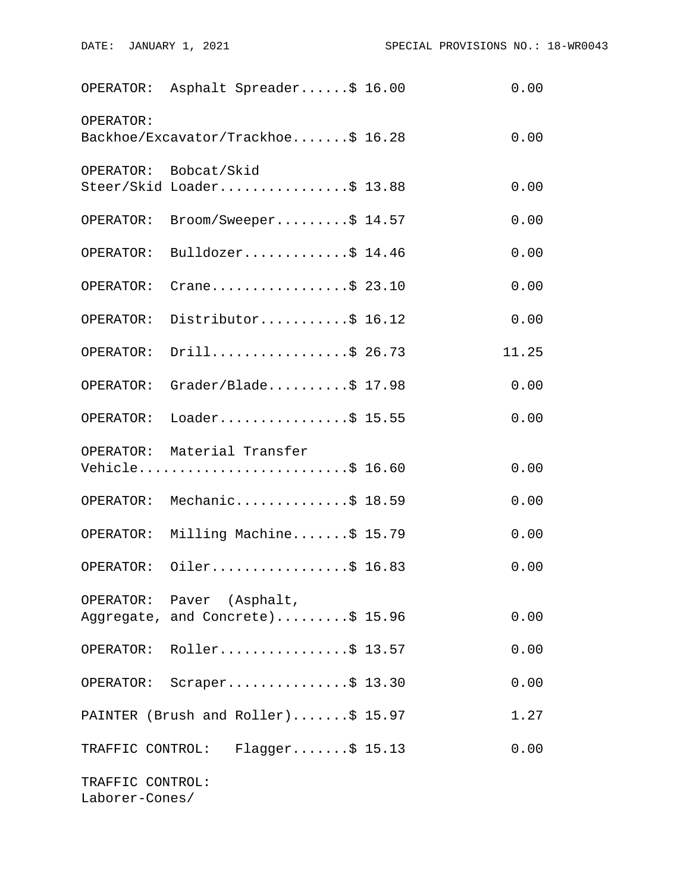|                                    | OPERATOR: Asphalt Spreader\$ 16.00                            | 0.00  |
|------------------------------------|---------------------------------------------------------------|-------|
| OPERATOR:                          | Backhoe/Excavator/Trackhoe\$ 16.28                            | 0.00  |
|                                    | OPERATOR: Bobcat/Skid<br>Steer/Skid Loader\$ 13.88            | 0.00  |
| OPERATOR:                          | $\texttt{Broom}/\texttt{Sweeper} \dots \dots \$ 14.57         | 0.00  |
|                                    | OPERATOR: Bulldozer\$ 14.46                                   | 0.00  |
| OPERATOR:                          | Crane\$ 23.10                                                 | 0.00  |
|                                    | OPERATOR: Distributor\$ 16.12                                 | 0.00  |
| OPERATOR:                          | Drill\$ 26.73                                                 | 11.25 |
|                                    | OPERATOR: Grader/Blade\$ 17.98                                | 0.00  |
|                                    | OPERATOR: Loader\$ 15.55                                      | 0.00  |
|                                    | OPERATOR: Material Transfer<br>Vehicle\$ 16.60                | 0.00  |
|                                    | OPERATOR: Mechanic\$ 18.59                                    | 0.00  |
|                                    | OPERATOR: Milling Machine\$ 15.79                             | 0.00  |
|                                    | OPERATOR: Oiler\$ 16.83                                       | 0.00  |
|                                    | OPERATOR: Paver (Asphalt,<br>Aggregate, and Concrete)\$ 15.96 | 0.00  |
|                                    | OPERATOR: Roller\$ 13.57                                      | 0.00  |
| OPERATOR:                          | $Scraper \ldots \ldots \ldots \ldots \$ 13.30                 | 0.00  |
|                                    | PAINTER (Brush and Roller)\$ 15.97                            | 1.27  |
| TRAFFIC CONTROL:                   | $Flagger$ \$ 15.13                                            | 0.00  |
| TRAFFIC CONTROL:<br>Laborer-Cones/ |                                                               |       |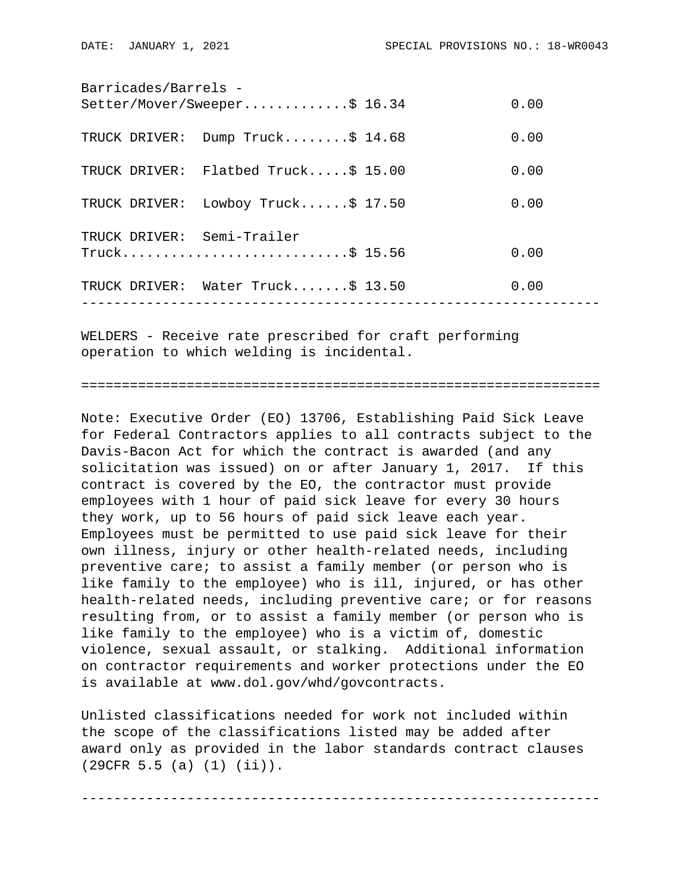| Barricades/Barrels -       |                                     |  |      |  |  |
|----------------------------|-------------------------------------|--|------|--|--|
|                            | Setter/Mover/Sweeper\$ 16.34        |  | 0.00 |  |  |
| TRUCK DRIVER:              | Dump Truck\$ 14.68                  |  | 0.00 |  |  |
|                            | TRUCK DRIVER: Flatbed Truck\$ 15.00 |  | 0.00 |  |  |
| TRUCK DRIVER:              | Lowboy Truck\$ 17.50                |  | 0.00 |  |  |
| TRUCK DRIVER: Semi-Trailer |                                     |  |      |  |  |
|                            |                                     |  | 0.00 |  |  |
|                            | TRUCK DRIVER: Water Truck\$ 13.50   |  | 0.00 |  |  |
|                            |                                     |  |      |  |  |

WELDERS - Receive rate prescribed for craft performing operation to which welding is incidental.

================================================================

Note: Executive Order (EO) 13706, Establishing Paid Sick Leave for Federal Contractors applies to all contracts subject to the Davis-Bacon Act for which the contract is awarded (and any solicitation was issued) on or after January 1, 2017. If this contract is covered by the EO, the contractor must provide employees with 1 hour of paid sick leave for every 30 hours they work, up to 56 hours of paid sick leave each year. Employees must be permitted to use paid sick leave for their own illness, injury or other health-related needs, including preventive care; to assist a family member (or person who is like family to the employee) who is ill, injured, or has other health-related needs, including preventive care; or for reasons resulting from, or to assist a family member (or person who is like family to the employee) who is a victim of, domestic violence, sexual assault, or stalking. Additional information on contractor requirements and worker protections under the EO is available at www.dol.gov/whd/govcontracts.

Unlisted classifications needed for work not included within the scope of the classifications listed may be added after award only as provided in the labor standards contract clauses (29CFR 5.5 (a) (1) (ii)).

----------------------------------------------------------------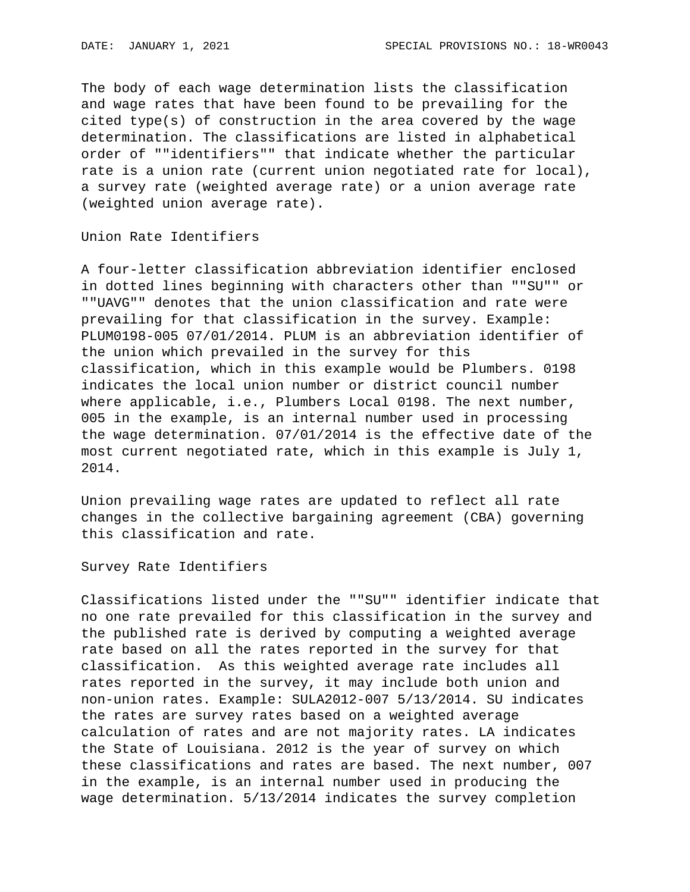The body of each wage determination lists the classification and wage rates that have been found to be prevailing for the cited type(s) of construction in the area covered by the wage determination. The classifications are listed in alphabetical order of ""identifiers"" that indicate whether the particular rate is a union rate (current union negotiated rate for local), a survey rate (weighted average rate) or a union average rate (weighted union average rate).

Union Rate Identifiers

A four-letter classification abbreviation identifier enclosed in dotted lines beginning with characters other than ""SU"" or ""UAVG"" denotes that the union classification and rate were prevailing for that classification in the survey. Example: PLUM0198-005 07/01/2014. PLUM is an abbreviation identifier of the union which prevailed in the survey for this classification, which in this example would be Plumbers. 0198 indicates the local union number or district council number where applicable, i.e., Plumbers Local 0198. The next number, 005 in the example, is an internal number used in processing the wage determination. 07/01/2014 is the effective date of the most current negotiated rate, which in this example is July 1, 2014.

Union prevailing wage rates are updated to reflect all rate changes in the collective bargaining agreement (CBA) governing this classification and rate.

Survey Rate Identifiers

Classifications listed under the ""SU"" identifier indicate that no one rate prevailed for this classification in the survey and the published rate is derived by computing a weighted average rate based on all the rates reported in the survey for that classification. As this weighted average rate includes all rates reported in the survey, it may include both union and non-union rates. Example: SULA2012-007 5/13/2014. SU indicates the rates are survey rates based on a weighted average calculation of rates and are not majority rates. LA indicates the State of Louisiana. 2012 is the year of survey on which these classifications and rates are based. The next number, 007 in the example, is an internal number used in producing the wage determination. 5/13/2014 indicates the survey completion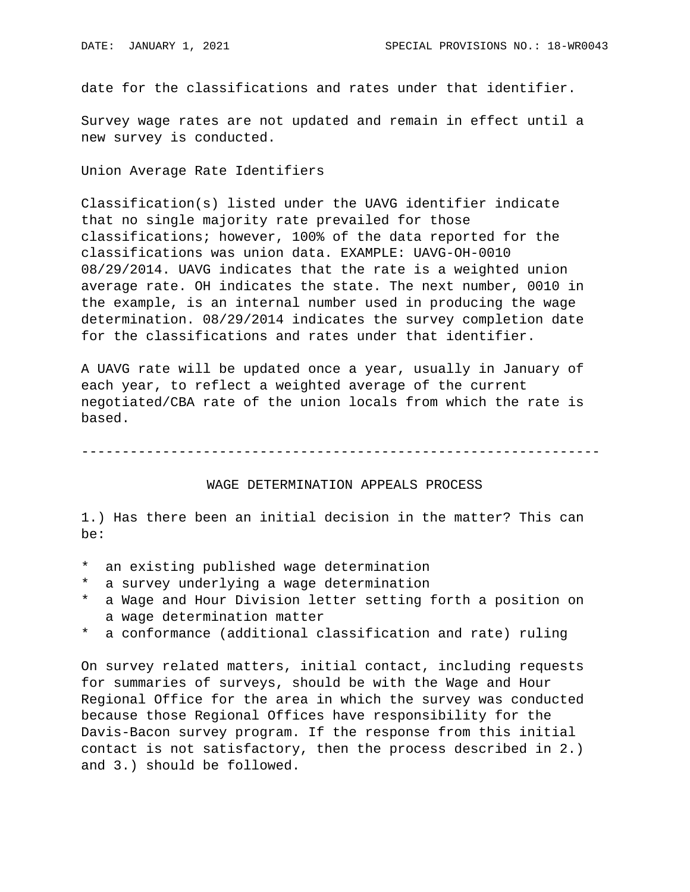date for the classifications and rates under that identifier.

Survey wage rates are not updated and remain in effect until a new survey is conducted.

Union Average Rate Identifiers

Classification(s) listed under the UAVG identifier indicate that no single majority rate prevailed for those classifications; however, 100% of the data reported for the classifications was union data. EXAMPLE: UAVG-OH-0010 08/29/2014. UAVG indicates that the rate is a weighted union average rate. OH indicates the state. The next number, 0010 in the example, is an internal number used in producing the wage determination. 08/29/2014 indicates the survey completion date for the classifications and rates under that identifier.

A UAVG rate will be updated once a year, usually in January of each year, to reflect a weighted average of the current negotiated/CBA rate of the union locals from which the rate is based.

----------------------------------------------------------------

## WAGE DETERMINATION APPEALS PROCESS

1.) Has there been an initial decision in the matter? This can be:

- \* an existing published wage determination
- \* a survey underlying a wage determination
- a Wage and Hour Division letter setting forth a position on a wage determination matter
- \* a conformance (additional classification and rate) ruling

On survey related matters, initial contact, including requests for summaries of surveys, should be with the Wage and Hour Regional Office for the area in which the survey was conducted because those Regional Offices have responsibility for the Davis-Bacon survey program. If the response from this initial contact is not satisfactory, then the process described in 2.) and 3.) should be followed.